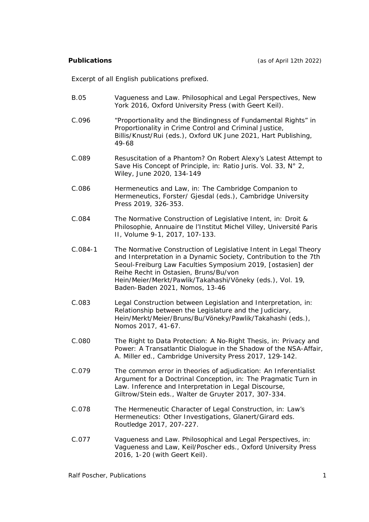*Excerpt of all English publications prefixed.*

- B.05 Vagueness and Law. Philosophical and Legal Perspectives, New York 2016, Oxford University Press (with Geert Keil).
- C.096 "Proportionality and the Bindingness of Fundamental Rights" in Proportionality in Crime Control and Criminal Justice, Billis/Knust/Rui (eds.), Oxford UK June 2021, Hart Publishing, 49-68
- C.089 Resuscitation of a Phantom? On Robert Alexy's Latest Attempt to Save His Concept of Principle, in: Ratio Juris. Vol. 33, N° 2, Wiley, June 2020, 134-149
- C.086 Hermeneutics and Law, in: The Cambridge Companion to Hermeneutics, Forster/ Gjesdal (eds.), Cambridge University Press 2019, 326-353.
- C.084 The Normative Construction of Legislative Intent, in: Droit & Philosophie, Annuaire de l'Institut Michel Villey, Université Paris II, Volume 9-1, 2017, 107-133.
- C.084-1 The Normative Construction of Legislative Intent in Legal Theory and Interpretation in a Dynamic Society, Contribution to the 7th Seoul-Freiburg Law Faculties Symposium 2019, [ostasien] der Reihe Recht in Ostasien, Bruns/Bu/von Hein/Meier/Merkt/Pawlik/Takahashi/Vöneky (eds.), Vol. 19, Baden-Baden 2021, Nomos, 13-46
- C.083 Legal Construction between Legislation and Interpretation, in: Relationship between the Legislature and the Judiciary, Hein/Merkt/Meier/Bruns/Bu/Vöneky/Pawlik/Takahashi (eds.), Nomos 2017, 41-67.
- C.080 The Right to Data Protection: A No-Right Thesis, in: Privacy and Power: A Transatlantic Dialogue in the Shadow of the NSA-Affair, A. Miller ed., Cambridge University Press 2017, 129-142.
- C.079 The common error in theories of adjudication: An Inferentialist Argument for a Doctrinal Conception, in: The Pragmatic Turn in Law. Inference and Interpretation in Legal Discourse, Giltrow/Stein eds., Walter de Gruyter 2017, 307-334.
- C.078 The Hermeneutic Character of Legal Construction, in: Law's Hermeneutics: Other Investigations, Glanert/Girard eds. Routledge 2017, 207-227.
- C.077 Vagueness and Law. Philosophical and Legal Perspectives, in: Vagueness and Law, Keil/Poscher eds., Oxford University Press 2016, 1-20 (with Geert Keil).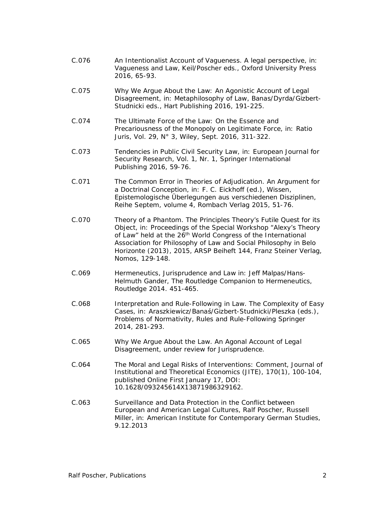- C.076 An Intentionalist Account of Vagueness. A legal perspective, in: Vagueness and Law, Keil/Poscher eds., Oxford University Press 2016, 65-93.
- C.075 Why We Argue About the Law: An Agonistic Account of Legal Disagreement, in: Metaphilosophy of Law, Banas/Dyrda/Gizbert-Studnicki eds., Hart Publishing 2016, 191-225.
- C.074 The Ultimate Force of the Law: On the Essence and Precariousness of the Monopoly on Legitimate Force, in: Ratio Juris, Vol. 29, N° 3, Wiley, Sept. 2016, 311-322.
- C.073 Tendencies in Public Civil Security Law, in: European Journal for Security Research, Vol. 1, Nr. 1, Springer International Publishing 2016, 59-76.
- C.071 The Common Error in Theories of Adjudication. An Argument for a Doctrinal Conception, in: F. C. Eickhoff (ed.), Wissen, Epistemologische Überlegungen aus verschiedenen Disziplinen, Reihe Septem, volume 4, Rombach Verlag 2015, 51-76.
- C.070 Theory of a Phantom. The Principles Theory's Futile Quest for its Object, in: Proceedings of the Special Workshop "Alexy's Theory of Law" held at the 26<sup>th</sup> World Congress of the International Association for Philosophy of Law and Social Philosophy in Belo Horizonte (2013), 2015, ARSP Beiheft 144, Franz Steiner Verlag, Nomos, 129-148.
- C.069 Hermeneutics, Jurisprudence and Law in: Jeff Malpas/Hans-Helmuth Gander, The Routledge Companion to Hermeneutics, Routledge 2014. 451-465.
- C.068 Interpretation and Rule-Following in Law. The Complexity of Easy Cases, in: Araszkiewicz/Banaś/Gizbert-Studnicki/Pleszka (eds.), Problems of Normativity, Rules and Rule-Following Springer 2014, 281-293.
- C.065 Why We Argue About the Law. An Agonal Account of Legal Disagreement, under review for Jurisprudence.
- C.064 The Moral and Legal Risks of Interventions: Comment, Journal of Institutional and Theoretical Economics (JITE), 170(1), 100-104, published Online First January 17, DOI: 10.1628/093245614X13871986329162.
- C.063 Surveillance and Data Protection in the Conflict between European and American Legal Cultures, Ralf Poscher, Russell Miller, in: American Institute for Contemporary German Studies, 9.12.2013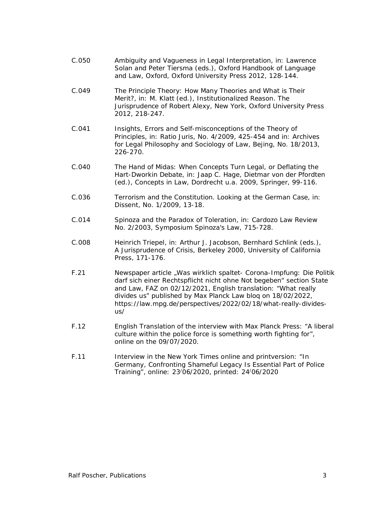- C.050 Ambiguity and Vagueness in Legal Interpretation, in: Lawrence Solan and Peter Tiersma (eds.), Oxford Handbook of Language and Law, Oxford, Oxford University Press 2012, 128-144.
- C.049 The Principle Theory: How Many Theories and What is Their Merit?, in: M. Klatt (ed.), Institutionalized Reason. The Jurisprudence of Robert Alexy, New York, Oxford University Press 2012, 218-247.
- C.041 Insights, Errors and Self-misconceptions of the Theory of Principles, in: Ratio Juris, No. 4/2009, 425-454 and in: Archives for Legal Philosophy and Sociology of Law, Bejing, No. 18/2013, 226-270.
- C.040 The Hand of Midas: When Concepts Turn Legal, or Deflating the Hart-Dworkin Debate, in: Jaap C. Hage, Dietmar von der Pfordten (ed.), Concepts in Law, Dordrecht u.a. 2009, Springer, 99-116.
- C.036 Terrorism and the Constitution. Looking at the German Case, in: Dissent, No. 1/2009, 13-18.
- C.014 Spinoza and the Paradox of Toleration, in: Cardozo Law Review No. 2/2003, Symposium Spinoza's Law, 715-728.
- C.008 Heinrich Triepel, in: Arthur J. Jacobson, Bernhard Schlink (eds.), A Jurisprudence of Crisis, Berkeley 2000, University of California Press, 171-176.
- F.21 Newspaper article "Was wirklich spaltet- Corona-Impfung: Die Politik darf sich einer Rechtspflicht nicht ohne Not begeben" section State and Law, FAZ on 02/12/2021, English translation: "What really divides us" published by Max Planck Law bloq on 18/02/2022, https://law.mpg.de/perspectives/2022/02/18/what-really-dividesus/
- F.12 English Translation of the interview with Max Planck Press: "A liberal culture within the police force is something worth fighting for", online on the 09/07/2020.
- F.11 Interview in the New York Times online and printversion: "In Germany, Confronting Shameful Legacy Is Essential Part of Police Training", online: 23/06/2020, printed: 24/06/2020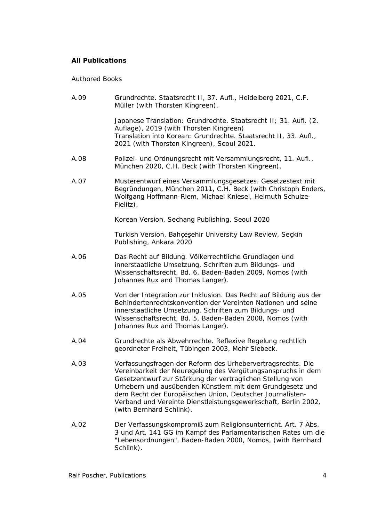# **All Publications**

## *Authored Books*

| A.09 | Grundrechte. Staatsrecht II, 37. Aufl., Heidelberg 2021, C.F.<br>Müller (with Thorsten Kingreen).                                                                                                                                                                                                                                                                                                                |
|------|------------------------------------------------------------------------------------------------------------------------------------------------------------------------------------------------------------------------------------------------------------------------------------------------------------------------------------------------------------------------------------------------------------------|
|      | Japanese Translation: Grundrechte. Staatsrecht II; 31. Aufl. (2.<br>Auflage), 2019 (with Thorsten Kingreen)<br>Translation into Korean: Grundrechte. Staatsrecht II, 33. Aufl.,<br>2021 (with Thorsten Kingreen), Seoul 2021.                                                                                                                                                                                    |
| A.08 | Polizei- und Ordnungsrecht mit Versammlungsrecht, 11. Aufl.,<br>München 2020, C.H. Beck (with Thorsten Kingreen).                                                                                                                                                                                                                                                                                                |
| A.07 | Musterentwurf eines Versammlungsgesetzes. Gesetzestext mit<br>Begründungen, München 2011, C.H. Beck (with Christoph Enders,<br>Wolfgang Hoffmann-Riem, Michael Kniesel, Helmuth Schulze-<br>Fielitz).                                                                                                                                                                                                            |
|      | Korean Version, Sechang Publishing, Seoul 2020                                                                                                                                                                                                                                                                                                                                                                   |
|      | Turkish Version, Bahçeşehir University Law Review, Seçkin<br>Publishing, Ankara 2020                                                                                                                                                                                                                                                                                                                             |
| A.06 | Das Recht auf Bildung. Völkerrechtliche Grundlagen und<br>innerstaatliche Umsetzung, Schriften zum Bildungs- und<br>Wissenschaftsrecht, Bd. 6, Baden-Baden 2009, Nomos (with<br>Johannes Rux and Thomas Langer).                                                                                                                                                                                                 |
| A.05 | Von der Integration zur Inklusion. Das Recht auf Bildung aus der<br>Behindertenrechtskonvention der Vereinten Nationen und seine<br>innerstaatliche Umsetzung, Schriften zum Bildungs- und<br>Wissenschaftsrecht, Bd. 5, Baden-Baden 2008, Nomos (with<br>Johannes Rux and Thomas Langer).                                                                                                                       |
| A.04 | Grundrechte als Abwehrrechte. Reflexive Regelung rechtlich<br>geordneter Freiheit, Tübingen 2003, Mohr Siebeck.                                                                                                                                                                                                                                                                                                  |
| A.03 | Verfassungsfragen der Reform des Urhebervertragsrechts. Die<br>Vereinbarkeit der Neuregelung des Vergütungsanspruchs in dem<br>Gesetzentwurf zur Stärkung der vertraglichen Stellung von<br>Urhebern und ausübenden Künstlern mit dem Grundgesetz und<br>dem Recht der Europäischen Union, Deutscher Journalisten-<br>Verband und Vereinte Dienstleistungsgewerkschaft, Berlin 2002,<br>(with Bernhard Schlink). |
| A.02 | Der Verfassungskompromiß zum Religionsunterricht. Art. 7 Abs.<br>3 und Art. 141 GG im Kampf des Parlamentarischen Rates um die<br>"Lebensordnungen", Baden-Baden 2000, Nomos, (with Bernhard<br>Schlink).                                                                                                                                                                                                        |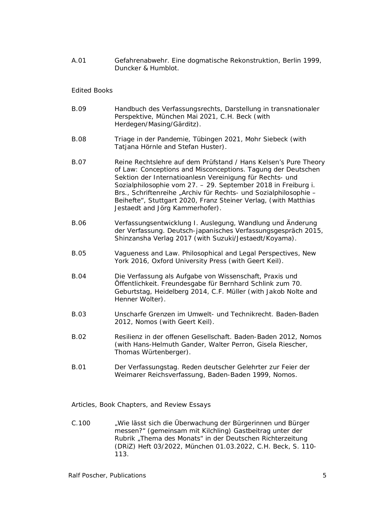A.01 Gefahrenabwehr. Eine dogmatische Rekonstruktion*,* Berlin 1999, Duncker & Humblot.

#### *Edited Books*

| <b>B.09</b> | Handbuch des Verfassungsrechts, Darstellung in transnationaler<br>Perspektive, München Mai 2021, C.H. Beck (with<br>Herdegen/Masing/Gärditz).                                                                                                                                                                                                                                                                                          |
|-------------|----------------------------------------------------------------------------------------------------------------------------------------------------------------------------------------------------------------------------------------------------------------------------------------------------------------------------------------------------------------------------------------------------------------------------------------|
| <b>B.08</b> | Triage in der Pandemie, Tübingen 2021, Mohr Siebeck (with<br>Tatjana Hörnle and Stefan Huster).                                                                                                                                                                                                                                                                                                                                        |
| <b>B.07</b> | Reine Rechtslehre auf dem Prüfstand / Hans Kelsen's Pure Theory<br>of Law: Conceptions and Misconceptions. Tagung der Deutschen<br>Sektion der Internatioanlesn Vereinigung für Rechts- und<br>Sozialphilosophie vom 27. - 29. September 2018 in Freiburg i.<br>Brs., Schriftenreihe "Archiv für Rechts- und Sozialphilosophie -<br>Beihefte", Stuttgart 2020, Franz Steiner Verlag, (with Matthias<br>Jestaedt and Jörg Kammerhofer). |
| <b>B.06</b> | Verfassungsentwicklung I. Auslegung, Wandlung und Änderung<br>der Verfassung. Deutsch-japanisches Verfassungsgespräch 2015,<br>Shinzansha Verlag 2017 (with Suzuki/Jestaedt/Koyama).                                                                                                                                                                                                                                                   |
| <b>B.05</b> | Vagueness and Law. Philosophical and Legal Perspectives, New<br>York 2016, Oxford University Press (with Geert Keil).                                                                                                                                                                                                                                                                                                                  |
| <b>B.04</b> | Die Verfassung als Aufgabe von Wissenschaft, Praxis und<br>Öffentlichkeit. Freundesgabe für Bernhard Schlink zum 70.<br>Geburtstag, Heidelberg 2014, C.F. Müller (with Jakob Nolte and<br>Henner Wolter).                                                                                                                                                                                                                              |
| <b>B.03</b> | Unscharfe Grenzen im Umwelt- und Technikrecht. Baden-Baden<br>2012, Nomos (with Geert Keil).                                                                                                                                                                                                                                                                                                                                           |
| <b>B.02</b> | Resilienz in der offenen Gesellschaft. Baden-Baden 2012, Nomos<br>(with Hans-Helmuth Gander, Walter Perron, Gisela Riescher,<br>Thomas Würtenberger).                                                                                                                                                                                                                                                                                  |
| <b>B.01</b> | Der Verfassungstag. Reden deutscher Gelehrter zur Feier der<br>Weimarer Reichsverfassung, Baden-Baden 1999, Nomos.                                                                                                                                                                                                                                                                                                                     |

*Articles, Book Chapters, and Review Essays*

C.100 "Wie lässt sich die Überwachung der Bürgerinnen und Bürger messen?" (gemeinsam mit Kilchling) Gastbeitrag unter der Rubrik "Thema des Monats" in der Deutschen Richterzeitung (DRiZ) Heft 03/2022, München 01.03.2022, C.H. Beck, S. 110- 113.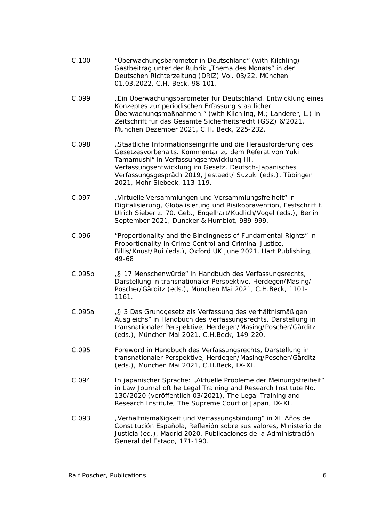| C.100  | "Überwachungsbarometer in Deutschland" (with Kilchling)<br>Gastbeitrag unter der Rubrik "Thema des Monats" in der<br>Deutschen Richterzeitung (DRiZ) Vol. 03/22, München<br>01.03.2022, C.H. Beck, 98-101.                                                                                                                  |
|--------|-----------------------------------------------------------------------------------------------------------------------------------------------------------------------------------------------------------------------------------------------------------------------------------------------------------------------------|
| C.099  | "Ein Überwachungsbarometer für Deutschland. Entwicklung eines<br>Konzeptes zur periodischen Erfassung staatlicher<br>Überwachungsmaßnahmen." (with Kilchling, M.; Landerer, L.) in<br>Zeitschrift für das Gesamte Sicherheitsrecht (GSZ) 6/2021,<br>München Dezember 2021, C.H. Beck, 225-232.                              |
| C.098  | "Staatliche Informationseingriffe und die Herausforderung des<br>Gesetzesvorbehalts. Kommentar zu dem Referat von Yuki<br>Tamamushi" in Verfassungsentwicklung III.<br>Verfassungsentwicklung im Gesetz. Deutsch-Japanisches<br>Verfassungsgespräch 2019, Jestaedt/ Suzuki (eds.), Tübingen<br>2021, Mohr Siebeck, 113-119. |
| C.097  | "Virtuelle Versammlungen und Versammlungsfreiheit" in<br>Digitalisierung, Globalisierung und Risikoprävention, Festschrift f.<br>Ulrich Sieber z. 70. Geb., Engelhart/Kudlich/Vogel (eds.), Berlin<br>September 2021, Duncker & Humblot, 989-999.                                                                           |
| C.096  | "Proportionality and the Bindingness of Fundamental Rights" in<br>Proportionality in Crime Control and Criminal Justice,<br>Billis/Knust/Rui (eds.), Oxford UK June 2021, Hart Publishing,<br>49-68                                                                                                                         |
| C.095b | "§ 17 Menschenwürde" in Handbuch des Verfassungsrechts,<br>Darstellung in transnationaler Perspektive, Herdegen/Masing/<br>Poscher/Gärditz (eds.), München Mai 2021, C.H.Beck, 1101-<br>1161.                                                                                                                               |
| C.095a | "§ 3 Das Grundgesetz als Verfassung des verhältnismäßigen<br>Ausgleichs" in Handbuch des Verfassungsrechts, Darstellung in<br>transnationaler Perspektive, Herdegen/Masing/Poscher/Gärditz<br>(eds.), München Mai 2021, C.H.Beck, 149-220.                                                                                  |

- C.095 Foreword in Handbuch des Verfassungsrechts, Darstellung in transnationaler Perspektive, Herdegen/Masing/Poscher/Gärditz (eds.), München Mai 2021, C.H.Beck, IX-XI.
- C.094 In japanischer Sprache: "Aktuelle Probleme der Meinungsfreiheit" in Law Journal oft he Legal Training and Research Institute No. 130/2020 (veröffentlich 03/2021), The Legal Training and Research Institute, The Supreme Court of Japan, IX-XI.
- C.093 "Verhältnismäßigkeit und Verfassungsbindung" in XL Años de Constitución Española, Reflexión sobre sus valores, Ministerio de Justicia (ed.), Madrid 2020, Publicaciones de la Administración General del Estado, 171-190.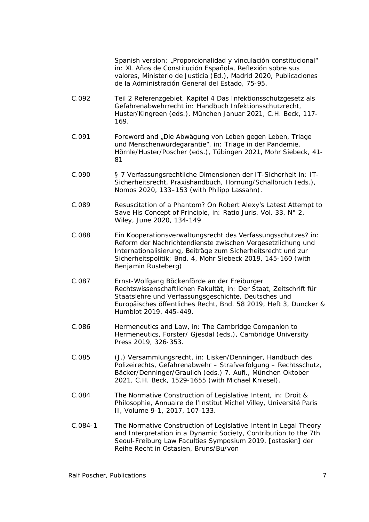Spanish version: "Proporcionalidad y vinculación constitucional" in: XL Años de Constitución Española, Reflexión sobre sus valores, Ministerio de Justicia (Ed.), Madrid 2020, Publicaciones de la Administración General del Estado, 75-95.

- C.092 Teil 2 Referenzgebiet, Kapitel 4 Das Infektionsschutzgesetz als Gefahrenabwehrrecht in: Handbuch Infektionsschutzrecht, Huster/Kingreen (eds.), München Januar 2021, C.H. Beck, 117- 169.
- C.091 Foreword and "Die Abwägung von Leben gegen Leben, Triage und Menschenwürdegarantie", in: Triage in der Pandemie, Hörnle/Huster/Poscher (eds.), Tübingen 2021, Mohr Siebeck, 41- 81
- C.090 § 7 Verfassungsrechtliche Dimensionen der IT-Sicherheit in: IT-Sicherheitsrecht, Praxishandbuch, Hornung/Schallbruch (eds.), Nomos 2020, 133–153 (with Philipp Lassahn).
- C.089 Resuscitation of a Phantom? On Robert Alexy's Latest Attempt to Save His Concept of Principle, in: Ratio Juris. Vol. 33, N° 2, Wiley, June 2020, 134-149
- C.088 Ein Kooperationsverwaltungsrecht des Verfassungsschutzes? in: Reform der Nachrichtendienste zwischen Vergesetzlichung und Internationalisierung, Beiträge zum Sicherheitsrecht und zur Sicherheitspolitik; Bnd. 4, Mohr Siebeck 2019, 145-160 (with Benjamin Rusteberg)
- C.087 Ernst-Wolfgang Böckenförde an der Freiburger Rechtswissenschaftlichen Fakultät, in: Der Staat, Zeitschrift für Staatslehre und Verfassungsgeschichte, Deutsches und Europäisches öffentliches Recht, Bnd. 58 2019, Heft 3, Duncker & Humblot 2019, 445-449.
- C.086 Hermeneutics and Law, in: The Cambridge Companion to Hermeneutics, Forster/ Gjesdal (eds.), Cambridge University Press 2019, 326-353.
- C.085 (J.) Versammlungsrecht, in: Lisken/Denninger, Handbuch des Polizeirechts, Gefahrenabwehr – Strafverfolgung – Rechtsschutz, Bäcker/Denninger/Graulich (eds.) 7. Aufl., München Oktober 2021, C.H. Beck, 1529-1655 (with Michael Kniesel).
- C.084 The Normative Construction of Legislative Intent, in: Droit & Philosophie, Annuaire de l'Institut Michel Villey, Université Paris II, Volume 9-1, 2017, 107-133.
- C.084-1 The Normative Construction of Legislative Intent in Legal Theory and Interpretation in a Dynamic Society, Contribution to the 7th Seoul-Freiburg Law Faculties Symposium 2019, [ostasien] der Reihe Recht in Ostasien, Bruns/Bu/von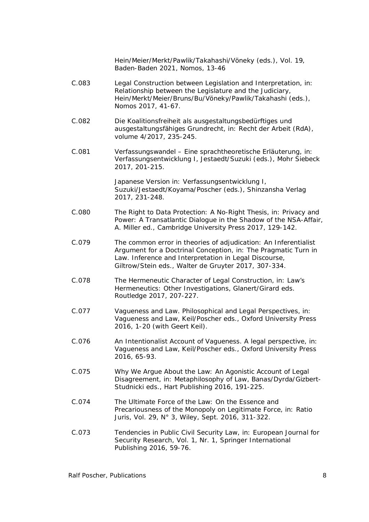Hein/Meier/Merkt/Pawlik/Takahashi/Vöneky (eds.), Vol. 19, Baden-Baden 2021, Nomos, 13-46

- C.083 Legal Construction between Legislation and Interpretation, in: Relationship between the Legislature and the Judiciary, Hein/Merkt/Meier/Bruns/Bu/Vöneky/Pawlik/Takahashi (eds.), Nomos 2017, 41-67.
- C.082 Die Koalitionsfreiheit als ausgestaltungsbedürftiges und ausgestaltungsfähiges Grundrecht, in: Recht der Arbeit (RdA), volume 4/2017, 235-245.
- C.081 Verfassungswandel Eine sprachtheoretische Erläuterung, in: Verfassungsentwicklung I, Jestaedt/Suzuki (eds.), Mohr Siebeck 2017, 201-215.

Japanese Version in: Verfassungsentwicklung I, Suzuki/Jestaedt/Koyama/Poscher (eds.), Shinzansha Verlag 2017, 231-248.

- C.080 The Right to Data Protection: A No-Right Thesis, in: Privacy and Power: A Transatlantic Dialogue in the Shadow of the NSA-Affair, A. Miller ed., Cambridge University Press 2017, 129-142.
- C.079 The common error in theories of adjudication: An Inferentialist Argument for a Doctrinal Conception, in: The Pragmatic Turn in Law. Inference and Interpretation in Legal Discourse, Giltrow/Stein eds., Walter de Gruyter 2017, 307-334.
- C.078 The Hermeneutic Character of Legal Construction, in: Law's Hermeneutics: Other Investigations, Glanert/Girard eds. Routledge 2017, 207-227.
- C.077 Vagueness and Law. Philosophical and Legal Perspectives, in: Vagueness and Law, Keil/Poscher eds., Oxford University Press 2016, 1-20 (with Geert Keil).
- C.076 An Intentionalist Account of Vagueness. A legal perspective, in: Vagueness and Law, Keil/Poscher eds., Oxford University Press 2016, 65-93.
- C.075 Why We Argue About the Law: An Agonistic Account of Legal Disagreement, in: Metaphilosophy of Law, Banas/Dyrda/Gizbert-Studnicki eds., Hart Publishing 2016, 191-225.
- C.074 The Ultimate Force of the Law: On the Essence and Precariousness of the Monopoly on Legitimate Force, in: Ratio Juris, Vol. 29, N° 3, Wiley, Sept. 2016, 311-322.
- C.073 Tendencies in Public Civil Security Law, in: European Journal for Security Research, Vol. 1, Nr. 1, Springer International Publishing 2016, 59-76.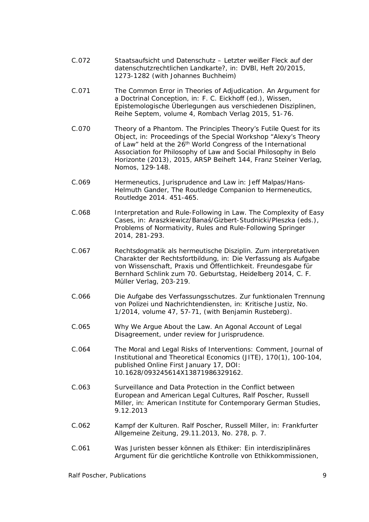- C.072 Staatsaufsicht und Datenschutz Letzter weißer Fleck auf der datenschutzrechtlichen Landkarte?, in: DVBl, Heft 20/2015, 1273-1282 (with Johannes Buchheim)
- C.071 The Common Error in Theories of Adjudication. An Argument for a Doctrinal Conception, in: F. C. Eickhoff (ed.), Wissen, Epistemologische Überlegungen aus verschiedenen Disziplinen, Reihe Septem, volume 4, Rombach Verlag 2015, 51-76.
- C.070 Theory of a Phantom. The Principles Theory's Futile Quest for its Object, in: Proceedings of the Special Workshop "Alexy's Theory of Law" held at the 26<sup>th</sup> World Congress of the International Association for Philosophy of Law and Social Philosophy in Belo Horizonte (2013), 2015, ARSP Beiheft 144, Franz Steiner Verlag, Nomos, 129-148.
- C.069 Hermeneutics, Jurisprudence and Law in: Jeff Malpas/Hans-Helmuth Gander, The Routledge Companion to Hermeneutics, Routledge 2014. 451-465.
- C.068 Interpretation and Rule-Following in Law. The Complexity of Easy Cases, in: Araszkiewicz/Banaś/Gizbert-Studnicki/Pleszka (eds.), Problems of Normativity, Rules and Rule-Following Springer 2014, 281-293.
- C.067 Rechtsdogmatik als hermeutische Disziplin. Zum interpretativen Charakter der Rechtsfortbildung, in: Die Verfassung als Aufgabe von Wissenschaft, Praxis und Öffentlichkeit. Freundesgabe für Bernhard Schlink zum 70. Geburtstag, Heidelberg 2014, C. F. Müller Verlag, 203-219.
- C.066 Die Aufgabe des Verfassungsschutzes. Zur funktionalen Trennung von Polizei und Nachrichtendiensten, in: Kritische Justiz, No. 1/2014, volume 47, 57-71, (with Benjamin Rusteberg).
- C.065 Why We Argue About the Law. An Agonal Account of Legal Disagreement, under review for Jurisprudence.
- C.064 The Moral and Legal Risks of Interventions: Comment, Journal of Institutional and Theoretical Economics (JITE), 170(1), 100-104, published Online First January 17, DOI: 10.1628/093245614X13871986329162.
- C.063 Surveillance and Data Protection in the Conflict between European and American Legal Cultures, Ralf Poscher, Russell Miller, in: American Institute for Contemporary German Studies, 9.12.2013
- C.062 Kampf der Kulturen. Ralf Poscher, Russell Miller, in: Frankfurter Allgemeine Zeitung, 29.11.2013, No. 278, p. 7.
- C.061 Was Juristen besser können als Ethiker: Ein interdisziplinäres Argument für die gerichtliche Kontrolle von Ethikkommissionen,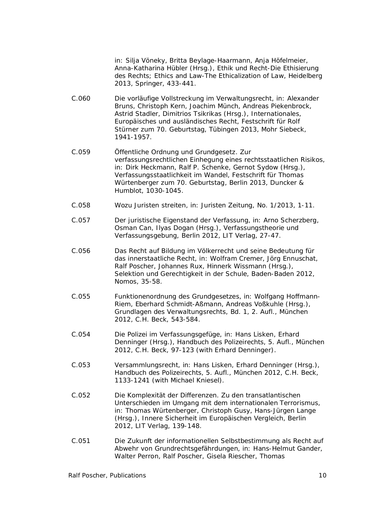in: Silja Vöneky, Britta Beylage-Haarmann, Anja Höfelmeier, Anna-Katharina Hübler (Hrsg.), Ethik und Recht-Die Ethisierung des Rechts; Ethics and Law-The Ethicalization of Law, Heidelberg 2013, Springer, 433-441.

- C.060 Die vorläufige Vollstreckung im Verwaltungsrecht, in: Alexander Bruns, Christoph Kern, Joachim Münch, Andreas Piekenbrock, Astrid Stadler, Dimitrios Tsikrikas (Hrsg.), Internationales, Europäisches und ausländisches Recht, Festschrift für Rolf Stürner zum 70. Geburtstag, Tübingen 2013, Mohr Siebeck, 1941-1957.
- C.059 Öffentliche Ordnung und Grundgesetz. Zur verfassungsrechtlichen Einhegung eines rechtsstaatlichen Risikos, in: Dirk Heckmann, Ralf P. Schenke, Gernot Sydow (Hrsg.), Verfassungsstaatlichkeit im Wandel, Festschrift für Thomas Würtenberger zum 70. Geburtstag, Berlin 2013, Duncker & Humblot, 1030-1045.
- C.058 Wozu Juristen streiten, in: Juristen Zeitung, No. 1/2013, 1-11.
- C.057 Der juristische Eigenstand der Verfassung, in: Arno Scherzberg, Osman Can, Ilyas Dogan (Hrsg.), Verfassungstheorie und Verfassungsgebung, Berlin 2012, LIT Verlag, 27-47.
- C.056 Das Recht auf Bildung im Völkerrecht und seine Bedeutung für das innerstaatliche Recht, in: Wolfram Cremer, Jörg Ennuschat, Ralf Poscher, Johannes Rux, Hinnerk Wissmann (Hrsg.), Selektion und Gerechtigkeit in der Schule, Baden-Baden 2012, Nomos, 35-58.
- C.055 Funktionenordnung des Grundgesetzes, in: Wolfgang Hoffmann-Riem, Eberhard Schmidt-Aßmann, Andreas Voßkuhle (Hrsg.), Grundlagen des Verwaltungsrechts, Bd. 1, 2. Aufl., München 2012, C.H. Beck, 543-584.
- C.054 Die Polizei im Verfassungsgefüge, in: Hans Lisken, Erhard Denninger (Hrsg.), Handbuch des Polizeirechts, 5. Aufl., München 2012, C.H. Beck, 97-123 (with Erhard Denninger).
- C.053 Versammlungsrecht, in: Hans Lisken, Erhard Denninger (Hrsg.), Handbuch des Polizeirechts, 5. Aufl., München 2012, C.H. Beck, 1133-1241 (with Michael Kniesel).
- C.052 Die Komplexität der Differenzen. Zu den transatlantischen Unterschieden im Umgang mit dem internationalen Terrorismus, in: Thomas Würtenberger, Christoph Gusy, Hans-Jürgen Lange (Hrsg.), Innere Sicherheit im Europäischen Vergleich, Berlin 2012, LIT Verlag, 139-148.
- C.051 Die Zukunft der informationellen Selbstbestimmung als Recht auf Abwehr von Grundrechtsgefährdungen, in: Hans-Helmut Gander, Walter Perron, Ralf Poscher, Gisela Riescher, Thomas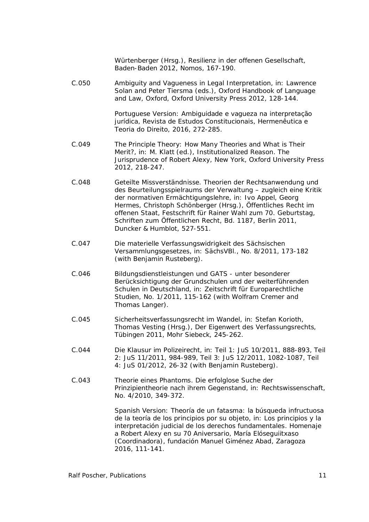Würtenberger (Hrsg.), Resilienz in der offenen Gesellschaft, Baden-Baden 2012, Nomos, 167-190.

C.050 Ambiguity and Vagueness in Legal Interpretation, in: Lawrence Solan and Peter Tiersma (eds.), Oxford Handbook of Language and Law, Oxford, Oxford University Press 2012, 128-144.

> Portuguese Version: Ambiguidade e vagueza na interpretação jurídica, Revista de Estudos Constitucionais, Hermenêutica e Teoria do Direito, 2016, 272-285.

- C.049 The Principle Theory: How Many Theories and What is Their Merit?, in: M. Klatt (ed.), Institutionalized Reason. The Jurisprudence of Robert Alexy, New York, Oxford University Press 2012, 218-247.
- C.048 Geteilte Missverständnisse. Theorien der Rechtsanwendung und des Beurteilungsspielraums der Verwaltung – zugleich eine Kritik der normativen Ermächtigungslehre, in: Ivo Appel, Georg Hermes, Christoph Schönberger (Hrsg.), Öffentliches Recht im offenen Staat, Festschrift für Rainer Wahl zum 70. Geburtstag, Schriften zum Öffentlichen Recht, Bd. 1187, Berlin 2011, Duncker & Humblot, 527-551.
- C.047 Die materielle Verfassungswidrigkeit des Sächsischen Versammlungsgesetzes, in: SächsVBl., No. 8/2011, 173-182 (with Benjamin Rusteberg).
- C.046 Bildungsdienstleistungen und GATS unter besonderer Berücksichtigung der Grundschulen und der weiterführenden Schulen in Deutschland, in: Zeitschrift für Europarechtliche Studien, No. 1/2011, 115-162 (with Wolfram Cremer and Thomas Langer).
- C.045 Sicherheitsverfassungsrecht im Wandel, in: Stefan Korioth, Thomas Vesting (Hrsg.), Der Eigenwert des Verfassungsrechts, Tübingen 2011, Mohr Siebeck, 245-262.
- C.044 Die Klausur im Polizeirecht, in: Teil 1: JuS 10/2011, 888-893, Teil 2: JuS 11/2011, 984-989, Teil 3: JuS 12/2011, 1082-1087, Teil 4: JuS 01/2012, 26-32 (with Benjamin Rusteberg).
- C.043 Theorie eines Phantoms. Die erfolglose Suche der Prinzipientheorie nach ihrem Gegenstand, in: Rechtswissenschaft, No. 4/2010, 349-372.

Spanish Version: Theoría de un fatasma: la búsqueda infructuosa de la teoría de los principios por su objeto, in: Los principios y la interpretación judicial de los derechos fundamentales. Homenaje a Robert Alexy en su 70 Aniversario, María Elóseguiitxaso (Coordinadora), fundación Manuel Giménez Abad, Zaragoza 2016, 111-141.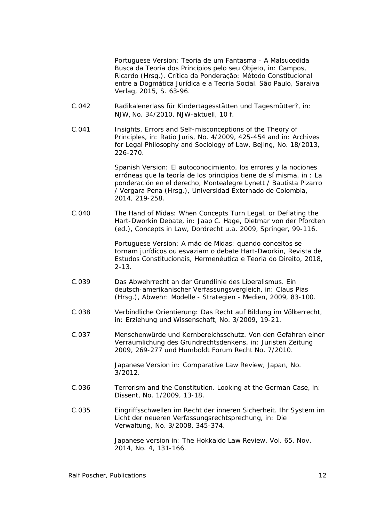Portuguese Version: Teoria de um Fantasma - A Malsucedida Busca da Teoria dos Princípios pelo seu Objeto, in: Campos, Ricardo (Hrsg.). Crítica da Ponderação: Método Constitucional entre a Dogmática Jurídica e a Teoria Social. São Paulo, Saraiva Verlag, 2015, S. 63-96.

- C.042 Radikalenerlass für Kindertagesstätten und Tagesmütter?, in: NJW, No. 34/2010, NJW-aktuell, 10 f.
- C.041 Insights, Errors and Self-misconceptions of the Theory of Principles, in: Ratio Juris, No. 4/2009, 425-454 and in: Archives for Legal Philosophy and Sociology of Law, Bejing, No. 18/2013, 226-270.

Spanish Version: El autoconocimiento, los errores y la nociones erróneas que la teoría de los principios tiene de sí misma, in : La ponderación en el derecho, Montealegre Lynett / Bautista Pizarro / Vergara Pena (Hrsg.), Universidad Externado de Colombia, 2014, 219-258.

C.040 The Hand of Midas: When Concepts Turn Legal, or Deflating the Hart-Dworkin Debate, in: Jaap C. Hage, Dietmar von der Pfordten (ed.), Concepts in Law, Dordrecht u.a. 2009, Springer, 99-116.

> Portuguese Version: A mão de Midas: quando conceitos se tornam jurídicos ou esvaziam o debate Hart-Dworkin, Revista de Estudos Constitucionais, Hermenêutica e Teoria do Direito, 2018, 2-13.

- C.039 Das Abwehrrecht an der Grundlinie des Liberalismus. Ein deutsch-amerikanischer Verfassungsvergleich, in: Claus Pias (Hrsg.), Abwehr: Modelle - Strategien - Medien, 2009, 83-100.
- C.038 Verbindliche Orientierung: Das Recht auf Bildung im Völkerrecht, in: Erziehung und Wissenschaft, No. 3/2009, 19-21.
- C.037 Menschenwürde und Kernbereichsschutz. Von den Gefahren einer Verräumlichung des Grundrechtsdenkens, in: Juristen Zeitung 2009, 269-277 und Humboldt Forum Recht No. 7/2010.

Japanese Version in: Comparative Law Review, Japan, No. 3/2012.

- C.036 Terrorism and the Constitution. Looking at the German Case, in: Dissent, No. 1/2009, 13-18.
- C.035 Eingriffsschwellen im Recht der inneren Sicherheit. Ihr System im Licht der neueren Verfassungsrechtsprechung, in: Die Verwaltung, No. 3/2008, 345-374.

Japanese version in: The Hokkaido Law Review, Vol. 65, Nov. 2014, No. 4, 131-166.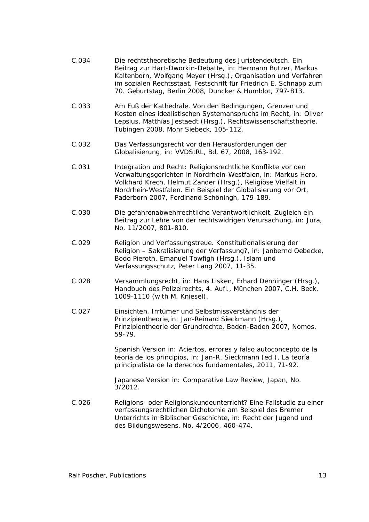- C.034 Die rechtstheoretische Bedeutung des Juristendeutsch. Ein Beitrag zur Hart-Dworkin-Debatte, in: Hermann Butzer, Markus Kaltenborn, Wolfgang Meyer (Hrsg.), Organisation und Verfahren im sozialen Rechtsstaat, Festschrift für Friedrich E. Schnapp zum 70. Geburtstag, Berlin 2008, Duncker & Humblot, 797-813.
- C.033 Am Fuß der Kathedrale. Von den Bedingungen, Grenzen und Kosten eines idealistischen Systemanspruchs im Recht, in: Oliver Lepsius, Matthias Jestaedt (Hrsg.), Rechtswissenschaftstheorie, Tübingen 2008, Mohr Siebeck, 105-112.
- C.032 Das Verfassungsrecht vor den Herausforderungen der Globalisierung, in: VVDStRL, Bd. 67, 2008, 163-192.
- C.031 Integration und Recht: Religionsrechtliche Konflikte vor den Verwaltungsgerichten in Nordrhein-Westfalen, in: Markus Hero, Volkhard Krech, Helmut Zander (Hrsg.), Religiöse Vielfalt in Nordrhein-Westfalen. Ein Beispiel der Globalisierung vor Ort, Paderborn 2007, Ferdinand Schöningh, 179-189.
- C.030 Die gefahrenabwehrrechtliche Verantwortlichkeit. Zugleich ein Beitrag zur Lehre von der rechtswidrigen Verursachung, in: Jura, No. 11/2007, 801-810.
- C.029 Religion und Verfassungstreue. Konstitutionalisierung der Religion – Sakralisierung der Verfassung?, in: Janbernd Oebecke, Bodo Pieroth, Emanuel Towfigh (Hrsg.), Islam und Verfassungsschutz, Peter Lang 2007, 11-35.
- C.028 Versammlungsrecht, in: Hans Lisken, Erhard Denninger (Hrsg.), Handbuch des Polizeirechts*,* 4. Aufl., München 2007, C.H. Beck, 1009-1110 (with M. Kniesel).
- C.027 Einsichten, Irrtümer und Selbstmissverständnis der Prinzipientheorie,in: Jan-Reinard Sieckmann (Hrsg.), Prinzipientheorie der Grundrechte, Baden-Baden 2007, Nomos, 59-79.

Spanish Version in: Aciertos, errores y falso autoconcepto de la teoría de los principios, in: Jan-R. Sieckmann (ed.), La teoría principialista de la derechos fundamentales, 2011, 71-92.

Japanese Version in: Comparative Law Review, Japan, No.  $3/2012$ .

C.026 Religions- oder Religionskundeunterricht? Eine Fallstudie zu einer verfassungsrechtlichen Dichotomie am Beispiel des Bremer Unterrichts in Biblischer Geschichte, in: Recht der Jugend und des Bildungswesens, No. 4/2006, 460-474.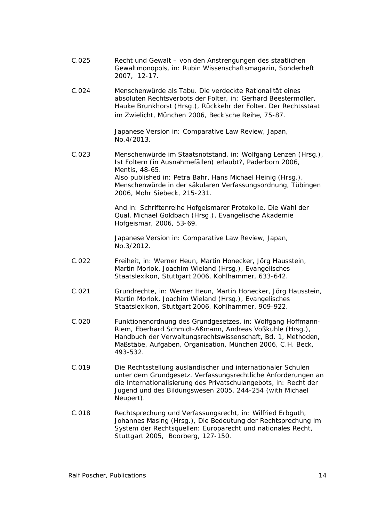- C.025 Recht und Gewalt von den Anstrengungen des staatlichen Gewaltmonopols, in: Rubin Wissenschaftsmagazin, Sonderheft 2007, 12-17.
- C.024 Menschenwürde als Tabu. Die verdeckte Rationalität eines absoluten Rechtsverbots der Folter, in: Gerhard Beestermöller, Hauke Brunkhorst (Hrsg.), Rückkehr der Folter. Der Rechtsstaat im Zwielicht, München 2006, Beck'sche Reihe, 75-87.

Japanese Version in: Comparative Law Review, Japan, No.4/2013.

C.023 Menschenwürde im Staatsnotstand, in: Wolfgang Lenzen (Hrsg.), Ist Foltern (in Ausnahmefällen) erlaubt?, Paderborn 2006, Mentis, 48-65. Also published in: Petra Bahr, Hans Michael Heinig (Hrsg.), Menschenwürde in der säkularen Verfassungsordnung, Tübingen 2006, Mohr Siebeck, 215-231.

> And in: Schriftenreihe Hofgeismarer Protokolle, Die Wahl der Qual, Michael Goldbach (Hrsg.), Evangelische Akademie Hofgeismar, 2006, 53-69.

Japanese Version in: Comparative Law Review, Japan, No.3/2012.

- C.022 Freiheit*,* in: Werner Heun, Martin Honecker, Jörg Hausstein, Martin Morlok, Joachim Wieland (Hrsg.), Evangelisches Staatslexikon, Stuttgart 2006, Kohlhammer, 633-642.
- C.021 Grundrechte, in: Werner Heun, Martin Honecker, Jörg Hausstein, Martin Morlok, Joachim Wieland (Hrsg.), Evangelisches Staatslexikon, Stuttgart 2006, Kohlhammer, 909-922.
- C.020 Funktionenordnung des Grundgesetzes, in: Wolfgang Hoffmann-Riem, Eberhard Schmidt-Aßmann, Andreas Voßkuhle (Hrsg.), Handbuch der Verwaltungsrechtswissenschaft, Bd. 1, Methoden, Maßstäbe, Aufgaben, Organisation, München 2006, C.H. Beck, 493-532.
- C.019 Die Rechtsstellung ausländischer und internationaler Schulen unter dem Grundgesetz. Verfassungsrechtliche Anforderungen an die Internationalisierung des Privatschulangebots, in: Recht der Jugend und des Bildungswesen 2005, 244-254 (with Michael Neupert).
- C.018 Rechtsprechung und Verfassungsrecht, in: Wilfried Erbguth, Johannes Masing (Hrsg.), Die Bedeutung der Rechtsprechung im System der Rechtsquellen: Europarecht und nationales Recht, Stuttgart 2005, Boorberg, 127-150.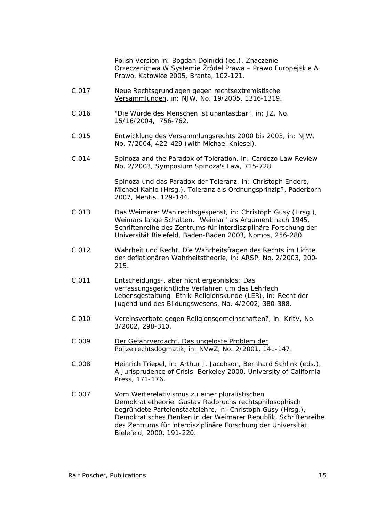Polish Version in: Bogdan Dolnicki (ed.), Znaczenie Orzeczenictwa W Systemie Źródeł Prawa – Prawo Europejskie A Prawo, Katowice 2005, Branta, 102-121.

- C.017 Neue Rechtsgrundlagen gegen rechtsextremistische Versammlungen, in: NJW, No. 19/2005, 1316-1319.
- C.016 "Die Würde des Menschen ist unantastbar", in: JZ, No. 15/16/2004, 756-762.
- C.015 Entwicklung des Versammlungsrechts 2000 bis 2003, in: NJW, No. 7/2004, 422-429 (with Michael Kniesel).
- C.014 Spinoza and the Paradox of Toleration, in: Cardozo Law Review No. 2/2003, Symposium Spinoza's Law, 715-728.

Spinoza und das Paradox der Toleranz, in: Christoph Enders, Michael Kahlo (Hrsg.), Toleranz als Ordnungsprinzip?, Paderborn 2007, Mentis, 129-144.

- C.013 Das Weimarer Wahlrechtsgespenst, in: Christoph Gusy (Hrsg.), Weimars lange Schatten. "Weimar" als Argument nach 1945, Schriftenreihe des Zentrums für interdisziplinäre Forschung der Universität Bielefeld, Baden-Baden 2003, Nomos, 256-280.
- C.012 Wahrheit und Recht. Die Wahrheitsfragen des Rechts im Lichte der deflationären Wahrheitstheorie, in: ARSP, No. 2/2003, 200- 215.
- C.011 Entscheidungs-, aber nicht ergebnislos: Das verfassungsgerichtliche Verfahren um das Lehrfach Lebensgestaltung- Ethik-Religionskunde (LER), in: Recht der Jugend und des Bildungswesens, No. 4/2002, 380-388.
- C.010 Vereinsverbote gegen Religionsgemeinschaften?, in: KritV, No. 3/2002, 298-310.
- C.009 Der Gefahrverdacht. Das ungelöste Problem der Polizeirechtsdogmatik, in: NVwZ, No. 2/2001, 141-147.
- C.008 Heinrich Triepel, in: Arthur J. Jacobson, Bernhard Schlink (eds.), A Jurisprudence of Crisis, Berkeley 2000, University of California Press, 171-176.
- C.007 Vom Werterelativismus zu einer pluralistischen Demokratietheorie. Gustav Radbruchs rechtsphilosophisch begründete Parteienstaatslehre, in: Christoph Gusy (Hrsg.), Demokratisches Denken in der Weimarer Republik, Schriftenreihe des Zentrums für interdisziplinäre Forschung der Universität Bielefeld, 2000, 191-220.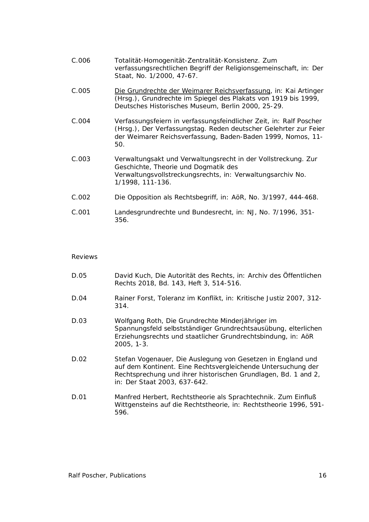| C.006 | Totalität-Homogenität-Zentralität-Konsistenz. Zum                 |
|-------|-------------------------------------------------------------------|
|       | verfassungsrechtlichen Begriff der Religionsgemeinschaft, in: Der |
|       | Staat, No. 1/2000, 47-67.                                         |

- C.005 Die Grundrechte der Weimarer Reichsverfassung, in: Kai Artinger (Hrsg.), Grundrechte im Spiegel des Plakats von 1919 bis 1999, Deutsches Historisches Museum, Berlin 2000, 25-29.
- C.004 Verfassungsfeiern in verfassungsfeindlicher Zeit, in: Ralf Poscher (Hrsg.), Der Verfassungstag. Reden deutscher Gelehrter zur Feier der Weimarer Reichsverfassung, Baden-Baden 1999, Nomos, 11- 50.
- C.003 Verwaltungsakt und Verwaltungsrecht in der Vollstreckung. Zur Geschichte, Theorie und Dogmatik des Verwaltungsvollstreckungsrechts, in: Verwaltungsarchiv No. 1/1998, 111-136.
- C.002 Die Opposition als Rechtsbegriff, in: AöR, No. 3/1997, 444-468.
- C.001 Landesgrundrechte und Bundesrecht, in: NJ, No. 7/1996, 351- 356.

#### *Reviews*

- D.05 David Kuch, Die Autorität des Rechts, in: Archiv des Öffentlichen Rechts 2018, Bd. 143, Heft 3, 514-516.
- D.04 Rainer Forst, Toleranz im Konflikt, in: Kritische Justiz 2007, 312- 314.
- D.03 Wolfgang Roth, Die Grundrechte Minderjähriger im Spannungsfeld selbstständiger Grundrechtsausübung, elterlichen Erziehungsrechts und staatlicher Grundrechtsbindung, in: AöR 2005, 1-3.
- D.02 Stefan Vogenauer, Die Auslegung von Gesetzen in England und auf dem Kontinent. Eine Rechtsvergleichende Untersuchung der Rechtsprechung und ihrer historischen Grundlagen, Bd. 1 and 2, in: Der Staat 2003, 637-642.
- D.01 Manfred Herbert, Rechtstheorie als Sprachtechnik. Zum Einfluß Wittgensteins auf die Rechtstheorie, in: Rechtstheorie 1996, 591- 596.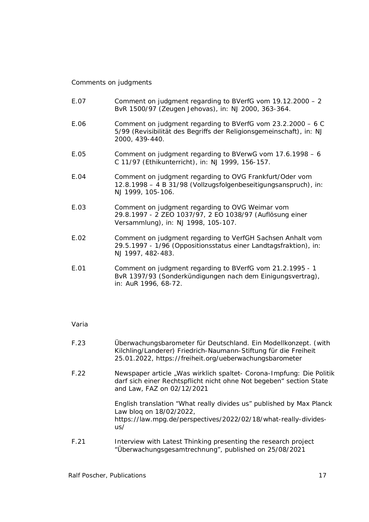### *Comments on judgments*

- E.07 Comment on judgment regarding to BVerfG vom 19.12.2000 2 BvR 1500/97 (Zeugen Jehovas), in: NJ 2000, 363-364.
- E.06 Comment on judgment regarding to BVerfG vom 23.2.2000 6 C 5/99 (Revisibilität des Begriffs der Religionsgemeinschaft), in: NJ 2000, 439-440.
- E.05 Comment on judgment regarding to BVerwG vom 17.6.1998 6 C 11/97 (Ethikunterricht), in: NJ 1999, 156-157.
- E.04 Comment on judgment regarding to OVG Frankfurt/Oder vom 12.8.1998 – 4 B 31/98 (Vollzugsfolgenbeseitigungsanspruch), in: NJ 1999, 105-106.
- E.03 Comment on judgment regarding to OVG Weimar vom 29.8.1997 - 2 ZEO 1037/97, 2 EO 1038/97 (Auflösung einer Versammlung), in: NJ 1998, 105-107.
- E.02 Comment on judgment regarding to VerfGH Sachsen Anhalt vom 29.5.1997 - 1/96 (Oppositionsstatus einer Landtagsfraktion), in: NJ 1997, 482-483.
- E.01 Comment on judgment regarding to BVerfG vom 21.2.1995 1 BvR 1397/93 (Sonderkündigungen nach dem Einigungsvertrag), in: AuR 1996, 68-72.

#### *Varia*

| F.23 | Überwachungsbarometer für Deutschland. Ein Modellkonzept. (with<br>Kilchling/Landerer) Friedrich-Naumann-Stiftung für die Freiheit<br>25.01.2022, https://freiheit.org/ueberwachungsbarometer |
|------|-----------------------------------------------------------------------------------------------------------------------------------------------------------------------------------------------|
| F.22 | Newspaper article, Was wirklich spaltet - Corona-Impfung: Die Politik<br>darf sich einer Rechtspflicht nicht ohne Not begeben" section State<br>and Law, FAZ on 02/12/2021                    |
|      | English translation "What really divides us" published by Max Planck<br>Law bloq on 18/02/2022,<br>https://law.mpg.de/perspectives/2022/02/18/what-really-divides-<br>us/                     |

F.21 Interview with Latest Thinking presenting the research project "Überwachungsgesamtrechnung", published on 25/08/2021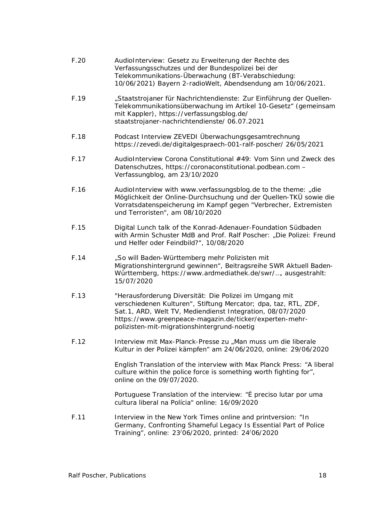| F.20 | AudioInterview: Gesetz zu Erweiterung der Rechte des<br>Verfassungsschutzes und der Bundespolizei bei der<br>Telekommunikations-Überwachung (BT-Verabschiedung:<br>10/06/2021) Bayern 2-radioWelt, Abendsendung am 10/06/2021.                                                                   |
|------|--------------------------------------------------------------------------------------------------------------------------------------------------------------------------------------------------------------------------------------------------------------------------------------------------|
| F.19 | "Staatstrojaner für Nachrichtendienste: Zur Einführung der Quellen-<br>Telekommunikationsüberwachung im Artikel 10-Gesetz" (gemeinsam<br>mit Kappler), https://verfassungsblog.de/<br>staatstrojaner-nachrichtendienste/ 06.07.2021                                                              |
| F.18 | Podcast Interview ZEVEDI Überwachungsgesamtrechnung<br>https://zevedi.de/digitalgespraech-001-ralf-poscher/ 26/05/2021                                                                                                                                                                           |
| F.17 | AudioInterview Corona Constitutional #49: Vom Sinn und Zweck des<br>Datenschutzes, https://coronaconstitutional.podbean.com -<br>Verfassungblog, am 23/10/2020                                                                                                                                   |
| F.16 | AudioInterview with www.verfassungsblog.de to the theme: "die<br>Möglichkeit der Online-Durchsuchung und der Quellen-TKÜ sowie die<br>Vorratsdatenspeicherung im Kampf gegen "Verbrecher, Extremisten<br>und Terroristen", am 08/10/2020                                                         |
| F.15 | Digital Lunch talk of the Konrad-Adenauer-Foundation Südbaden<br>with Armin Schuster MdB and Prof. Ralf Poscher: "Die Polizei: Freund<br>und Helfer oder Feindbild?", 10/08/2020                                                                                                                 |
| F.14 | "So will Baden-Württemberg mehr Polizisten mit<br>Migrationshintergrund gewinnen", Beitragsreihe SWR Aktuell Baden-<br>Württemberg, https://www.ardmediathek.de/swr/, ausgestrahlt:<br>15/07/2020                                                                                                |
| F.13 | "Herausforderung Diversität: Die Polizei im Umgang mit<br>verschiedenen Kulturen", Stiftung Mercator; dpa, taz, RTL, ZDF,<br>Sat.1, ARD, Welt TV, Mediendienst Integration, 08/07/2020<br>https://www.greenpeace-magazin.de/ticker/experten-mehr-<br>polizisten-mit-migrationshintergrund-noetig |
| F.12 | Interview mit Max-Planck-Presse zu "Man muss um die liberale<br>Kultur in der Polizei kämpfen" am 24/06/2020, online: 29/06/2020                                                                                                                                                                 |
|      | English Translation of the interview with Max Planck Press: "A liberal<br>culture within the police force is something worth fighting for",<br>online on the 09/07/2020.                                                                                                                         |
|      | Portuguese Translation of the interview: "É preciso lutar por uma<br>cultura liberal na Polícia" online: 16/09/2020                                                                                                                                                                              |
| F.11 | Interview in the New York Times online and printversion: "In<br>Germany, Confronting Shameful Legacy Is Essential Part of Police<br>Training", online: 23/06/2020, printed: 24/06/2020                                                                                                           |